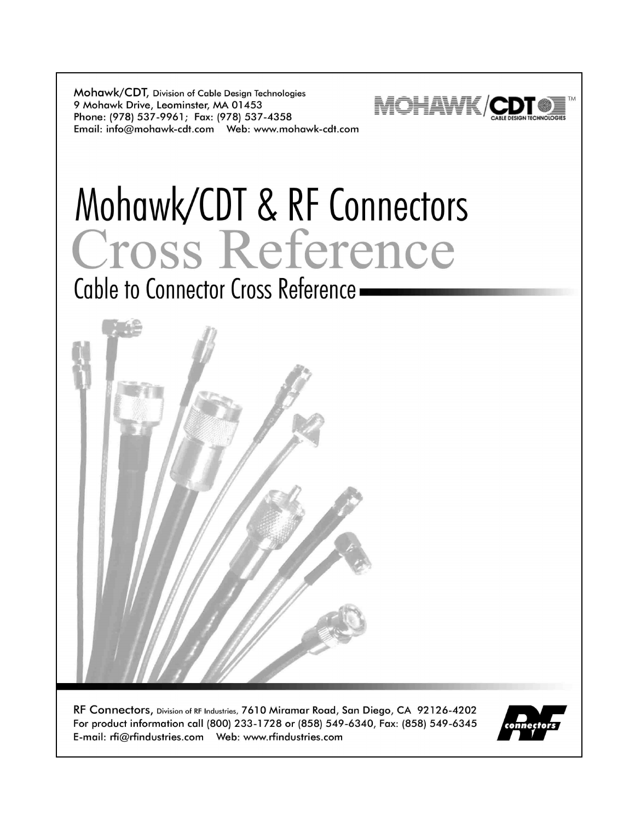Mohawk/CDT, Division of Cable Design Technologies 9 Mohawk Drive, Leominster, MA 01453 Phone: (978) 537-9961; Fax: (978) 537-4358 



# Mohawk/CDT & RF Connectors Cross Reference

Cable to Connector Cross Reference -



RF Connectors, Division of RF Industries, 7610 Miramar Road, San Diego, CA 92126-4202 For product information call (800) 233-1728 or (858) 549-6340, Fax: (858) 549-6345 

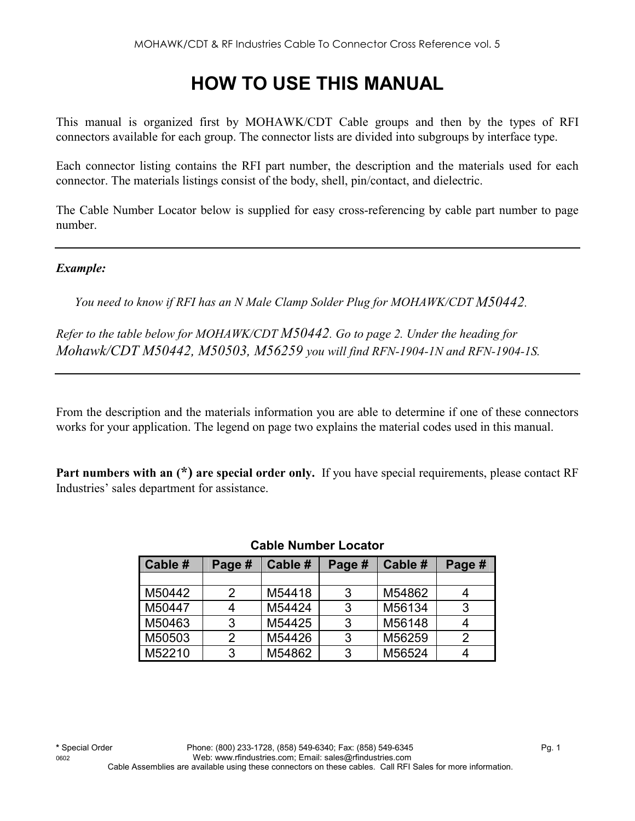# **HOW TO USE THIS MANUAL**

This manual is organized first by MOHAWK/CDT Cable groups and then by the types of RFI connectors available for each group. The connector lists are divided into subgroups by interface type.

Each connector listing contains the RFI part number, the description and the materials used for each connector. The materials listings consist of the body, shell, pin/contact, and dielectric.

The Cable Number Locator below is supplied for easy cross-referencing by cable part number to page number.

*Example:* 

*You need to know if RFI has an N Male Clamp Solder Plug for MOHAWK/CDT M50442.* 

*Refer to the table below for MOHAWK/CDT M50442. Go to page 2. Under the heading for Mohawk/CDT M50442, M50503, M56259 you will find RFN-1904-1N and RFN-1904-1S.*

From the description and the materials information you are able to determine if one of these connectors works for your application. The legend on page two explains the material codes used in this manual.

**Part numbers with an (\*) are special order only.** If you have special requirements, please contact RF Industries' sales department for assistance.

| Cable # | Page # | Cable # | Page # | Cable # | Page # |
|---------|--------|---------|--------|---------|--------|
|         |        |         |        |         |        |
| M50442  | 2      | M54418  | 3      | M54862  |        |
| M50447  |        | M54424  | 3      | M56134  |        |
| M50463  | 3      | M54425  | 3      | M56148  |        |
| M50503  | 2      | M54426  | 3      | M56259  |        |
| M52210  | 3      | M54862  | 3      | M56524  |        |

#### **Cable Number Locator**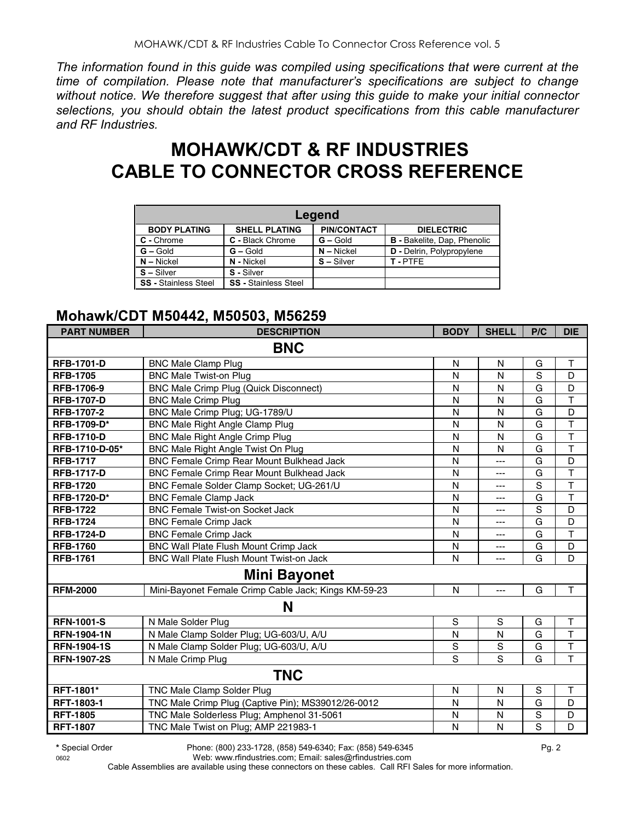*The information found in this guide was compiled using specifications that were current at the time of compilation. Please note that manufacturer's specifications are subject to change without notice. We therefore suggest that after using this guide to make your initial connector selections, you should obtain the latest product specifications from this cable manufacturer and RF Industries.*

# **MOHAWK/CDT & RF INDUSTRIES CABLE TO CONNECTOR CROSS REFERENCE**

| Legend                      |                             |                    |                                    |  |  |  |  |
|-----------------------------|-----------------------------|--------------------|------------------------------------|--|--|--|--|
| <b>BODY PLATING</b>         | <b>SHELL PLATING</b>        | <b>PIN/CONTACT</b> | <b>DIELECTRIC</b>                  |  |  |  |  |
| C - Chrome                  | C - Black Chrome            | $G -$ Gold         | <b>B</b> - Bakelite, Dap, Phenolic |  |  |  |  |
| $G - Gold$                  | $G - Gold$                  | $N -$ Nickel       | D - Delrin, Polypropylene          |  |  |  |  |
| $N -$ Nickel                | N - Nickel                  | $S - Silver$       | T-PTFF                             |  |  |  |  |
| $S -$ Silver                | S - Silver                  |                    |                                    |  |  |  |  |
| <b>SS</b> - Stainless Steel | <b>SS</b> - Stainless Steel |                    |                                    |  |  |  |  |

#### **Mohawk/CDT M50442, M50503, M56259**

| <b>PART NUMBER</b> | <b>DESCRIPTION</b>                                   | <b>BODY</b>  | <b>SHELL</b> | P/C            | <b>DIE</b>              |
|--------------------|------------------------------------------------------|--------------|--------------|----------------|-------------------------|
|                    | <b>BNC</b>                                           |              |              |                |                         |
| <b>RFB-1701-D</b>  | <b>BNC Male Clamp Plug</b>                           | N            | N            | G              | Τ                       |
| <b>RFB-1705</b>    | <b>BNC Male Twist-on Plug</b>                        | N            | N            | S              | D                       |
| <b>RFB-1706-9</b>  | <b>BNC Male Crimp Plug (Quick Disconnect)</b>        | N            | N            | G              | D                       |
| <b>RFB-1707-D</b>  | <b>BNC Male Crimp Plug</b>                           | N            | $\mathsf{N}$ | G              | $\overline{\mathsf{T}}$ |
| <b>RFB-1707-2</b>  | BNC Male Crimp Plug; UG-1789/U                       | N            | N            | G              | D                       |
| RFB-1709-D*        | <b>BNC Male Right Angle Clamp Plug</b>               | N            | $\mathsf{N}$ | G              | $\overline{\mathsf{T}}$ |
| <b>RFB-1710-D</b>  | <b>BNC Male Right Angle Crimp Plug</b>               | N            | N            | G              | $\overline{\mathsf{T}}$ |
| RFB-1710-D-05*     | BNC Male Right Angle Twist On Plug                   | N            | N            | G              | $\top$                  |
| <b>RFB-1717</b>    | <b>BNC Female Crimp Rear Mount Bulkhead Jack</b>     | $\mathsf{N}$ | ---          | G              | D                       |
| <b>RFB-1717-D</b>  | BNC Female Crimp Rear Mount Bulkhead Jack            | N            | ---          | G              | $\overline{\mathsf{T}}$ |
| <b>RFB-1720</b>    | BNC Female Solder Clamp Socket; UG-261/U             | N            | ---          | $\overline{s}$ | $\overline{\mathsf{T}}$ |
| <b>RFB-1720-D*</b> | <b>BNC Female Clamp Jack</b>                         | N            | ---          | G              | $\mathsf T$             |
| <b>RFB-1722</b>    | <b>BNC Female Twist-on Socket Jack</b>               | N            | ---          | S              | D                       |
| <b>RFB-1724</b>    | <b>BNC Female Crimp Jack</b>                         | $\mathsf{N}$ | ---          | G              | D                       |
| <b>RFB-1724-D</b>  | <b>BNC Female Crimp Jack</b>                         | N            | ---          | G              | T                       |
| <b>RFB-1760</b>    | BNC Wall Plate Flush Mount Crimp Jack                | N            | ---          | G              | D                       |
| <b>RFB-1761</b>    | BNC Wall Plate Flush Mount Twist-on Jack             | N            | ---          | G              | D                       |
|                    | <b>Mini Bayonet</b>                                  |              |              |                |                         |
| <b>RFM-2000</b>    | Mini-Bayonet Female Crimp Cable Jack; Kings KM-59-23 | $\mathsf{N}$ | $---$        | G              | T.                      |
|                    | N                                                    |              |              |                |                         |
| <b>RFN-1001-S</b>  | N Male Solder Plug                                   | $\mathbb S$  | $\mathbf S$  | G              | $\top$                  |
| <b>RFN-1904-1N</b> | N Male Clamp Solder Plug; UG-603/U, A/U              | N            | N            | G              | T                       |
| <b>RFN-1904-1S</b> | N Male Clamp Solder Plug; UG-603/U, A/U              | $\mathbf S$  | S            | G              | $\top$                  |
| <b>RFN-1907-2S</b> | N Male Crimp Plug                                    | S            | S            | G              | T                       |
|                    | <b>TNC</b>                                           |              |              |                |                         |
| RFT-1801*          | TNC Male Clamp Solder Plug                           | N            | N            | S              | T                       |
| RFT-1803-1         | TNC Male Crimp Plug (Captive Pin); MS39012/26-0012   | N            | N            | G              | D                       |
| <b>RFT-1805</b>    | TNC Male Solderless Plug; Amphenol 31-5061           | N            | N            | $\mathbf S$    | D                       |
| <b>RFT-1807</b>    | TNC Male Twist on Plug; AMP 221983-1                 | N            | N            | $\overline{s}$ | D                       |

**\*** Special Order Phone: (800) 233-1728, (858) 549-6340; Fax: (858) 549-6345 Pg. 2

0602 Web: www.rfindustries.com; Email: sales@rfindustries.com Cable Assemblies are available using these connectors on these cables. Call RFI Sales for more information.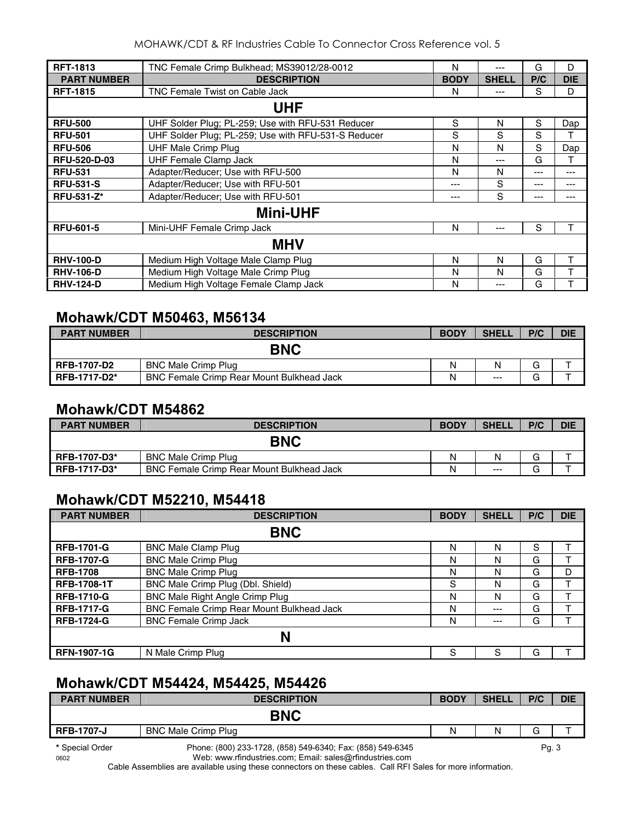| <b>RFT-1813</b>     | TNC Female Crimp Bulkhead; MS39012/28-0012          | N           | ---          | G   | D          |
|---------------------|-----------------------------------------------------|-------------|--------------|-----|------------|
| <b>PART NUMBER</b>  | <b>DESCRIPTION</b>                                  | <b>BODY</b> | <b>SHELL</b> | P/C | <b>DIE</b> |
| <b>RFT-1815</b>     | TNC Female Twist on Cable Jack                      | N           | ---          | S   | D          |
|                     | <b>UHF</b>                                          |             |              |     |            |
| <b>RFU-500</b>      | UHF Solder Plug; PL-259; Use with RFU-531 Reducer   | S           | N            | S   | Dap        |
| <b>RFU-501</b>      | UHF Solder Plug; PL-259; Use with RFU-531-S Reducer | S           | S            | S   |            |
| <b>RFU-506</b>      | <b>UHF Male Crimp Plug</b>                          | N           | N            | S   | Dap        |
| <b>RFU-520-D-03</b> | <b>UHF Female Clamp Jack</b>                        | N           | ---          | G   | т          |
| <b>RFU-531</b>      | Adapter/Reducer; Use with RFU-500                   | N           | N            | --- | ---        |
| <b>RFU-531-S</b>    | Adapter/Reducer; Use with RFU-501                   | $- - -$     | S            | --- | ---        |
| <b>RFU-531-Z*</b>   | Adapter/Reducer; Use with RFU-501                   | ---         | S            | --- | ---        |
|                     | <b>Mini-UHF</b>                                     |             |              |     |            |
| <b>RFU-601-5</b>    | Mini-UHF Female Crimp Jack                          | N           | ---          | S   | т          |
|                     | <b>MHV</b>                                          |             |              |     |            |
| <b>RHV-100-D</b>    | Medium High Voltage Male Clamp Plug                 | N           | N            | G   | т          |
| <b>RHV-106-D</b>    | Medium High Voltage Male Crimp Plug                 | N           | N            | G   | т          |
| <b>RHV-124-D</b>    | Medium High Voltage Female Clamp Jack               | N           | ---          | G   |            |

# **Mohawk/CDT M50463, M56134**

| <b>PART NUMBER</b>  | <b>DESCRIPTION</b>                               | <b>BODY</b> | <b>SHELL</b> | P/C | <b>DIE</b> |
|---------------------|--------------------------------------------------|-------------|--------------|-----|------------|
|                     | <b>BNC</b>                                       |             |              |     |            |
| RFB-1707-D2         | <b>BNC Male Crimp Plug</b>                       | N           |              | G   |            |
| <b>RFB-1717-D2*</b> | <b>BNC Female Crimp Rear Mount Bulkhead Jack</b> | N           | $---$        | G   |            |

#### **Mohawk/CDT M54862**

| <b>PART NUMBER</b>  | <b>DESCRIPTION</b>                               | <b>BODY</b> | <b>SHELL</b> | P/C | <b>DIE</b> |
|---------------------|--------------------------------------------------|-------------|--------------|-----|------------|
|                     | <b>BNC</b>                                       |             |              |     |            |
| <b>RFB-1707-D3*</b> | <b>BNC Male Crimp Plug</b>                       | N           | N            | G   |            |
| <b>RFB-1717-D3*</b> | <b>BNC Female Crimp Rear Mount Bulkhead Jack</b> | N           | $---$        | G   |            |

## **Mohawk/CDT M52210, M54418**

| <b>PART NUMBER</b> | <b>DESCRIPTION</b>                        | <b>BODY</b> | <b>SHELL</b> | P/C | <b>DIE</b> |  |
|--------------------|-------------------------------------------|-------------|--------------|-----|------------|--|
|                    | <b>BNC</b>                                |             |              |     |            |  |
| <b>RFB-1701-G</b>  | <b>BNC Male Clamp Plug</b>                | N           | N            | S   |            |  |
| <b>RFB-1707-G</b>  | <b>BNC Male Crimp Plug</b>                | N           | N            | G   |            |  |
| <b>RFB-1708</b>    | <b>BNC Male Crimp Plug</b>                | N           | N            | G   | D          |  |
| <b>RFB-1708-1T</b> | BNC Male Crimp Plug (Dbl. Shield)         | S           | N            | G   |            |  |
| <b>RFB-1710-G</b>  | <b>BNC Male Right Angle Crimp Plug</b>    | N           | N            | G   |            |  |
| <b>RFB-1717-G</b>  | BNC Female Crimp Rear Mount Bulkhead Jack | N           | ---          | G   |            |  |
| <b>RFB-1724-G</b>  | <b>BNC Female Crimp Jack</b>              | N           | ---          | G   |            |  |
| N                  |                                           |             |              |     |            |  |
| <b>RFN-1907-1G</b> | N Male Crimp Plug                         | S           | S            | G   |            |  |

## **Mohawk/CDT M54424, M54425, M54426**

| <b>PART NUMBER</b>      | <b>DESCRIPTION</b>                                                                                                     | <b>BODY</b> | <b>SHELL</b> | P/C  | <b>DIE</b> |
|-------------------------|------------------------------------------------------------------------------------------------------------------------|-------------|--------------|------|------------|
|                         | <b>BNC</b>                                                                                                             |             |              |      |            |
| <b>RFB-1707-J</b>       | <b>BNC Male Crimp Plug</b>                                                                                             | N           | N            | G    |            |
| * Special Order<br>0602 | Phone: (800) 233-1728, (858) 549-6340; Fax: (858) 549-6345<br>Web: www.rfindustries.com; Email: sales@rfindustries.com |             |              | Pg.3 |            |

Cable Assemblies are available using these connectors on these cables. Call RFI Sales for more information.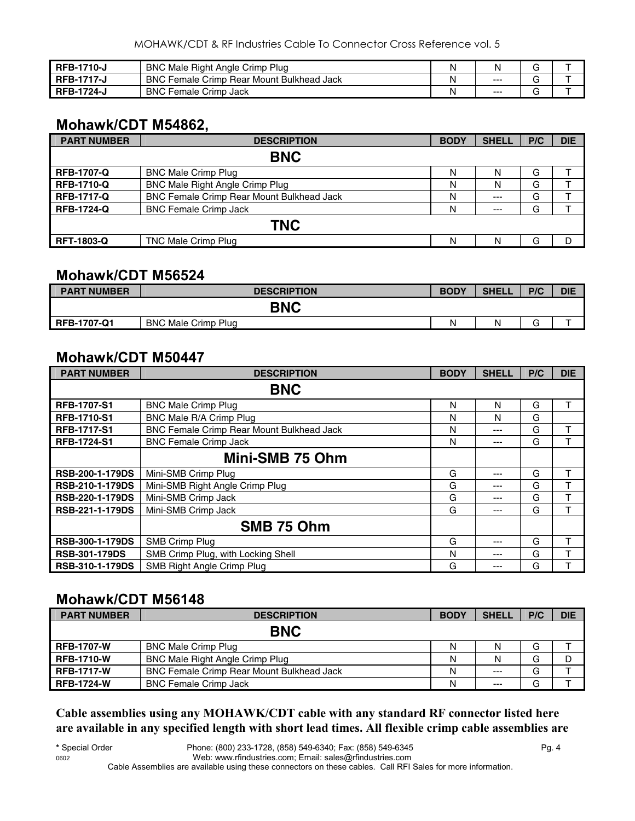| RFB-1710-J        | <b>BNC</b><br>Male Right Angle Crimp Plug 3         |         |  |
|-------------------|-----------------------------------------------------|---------|--|
| <b>RFB-1717-</b>  | <b>BNC</b><br>Female Crimp Rear Mount Bulkhead Jack | $--$    |  |
| <b>RFB-1724-J</b> | <b>BNC</b><br>Female Crimp Jack                     | $- - -$ |  |

## **Mohawk/CDT M54862,**

| <b>PART NUMBER</b> | <b>DESCRIPTION</b>                        | <b>BODY</b> | <b>SHELL</b> | P/C | <b>DIE</b> |  |  |
|--------------------|-------------------------------------------|-------------|--------------|-----|------------|--|--|
|                    | <b>BNC</b>                                |             |              |     |            |  |  |
| <b>RFB-1707-Q</b>  | <b>BNC Male Crimp Plug</b>                | N           | N            | G   |            |  |  |
| <b>RFB-1710-Q</b>  | <b>BNC Male Right Angle Crimp Plug</b>    | N           | N            | G   |            |  |  |
| <b>RFB-1717-Q</b>  | BNC Female Crimp Rear Mount Bulkhead Jack | N           | $---$        | G   |            |  |  |
| <b>RFB-1724-Q</b>  | <b>BNC Female Crimp Jack</b>              | N           | $---$        | G   |            |  |  |
|                    | <b>TNC</b>                                |             |              |     |            |  |  |
| <b>RFT-1803-Q</b>  | <b>TNC Male Crimp Plug</b>                | N           | N            | G   |            |  |  |

#### **Mohawk/CDT M56524**

| <b>PART NUMBER</b> | <b>DESCRIPTION</b>         | <b>BODY</b> | <b>SHELL</b> | P/C | <b>DIE</b> |
|--------------------|----------------------------|-------------|--------------|-----|------------|
|                    | <b>BNC</b>                 |             |              |     |            |
| <b>RFB-1707-Q1</b> | <b>BNC Male Crimp Plug</b> | Ν           | N            | -   |            |

#### **Mohawk/CDT M50447**

| <b>PART NUMBER</b>     | <b>DESCRIPTION</b>                        | <b>BODY</b> | <b>SHELL</b> | P/C | <b>DIE</b> |
|------------------------|-------------------------------------------|-------------|--------------|-----|------------|
|                        | <b>BNC</b>                                |             |              |     |            |
| <b>RFB-1707-S1</b>     | <b>BNC Male Crimp Plug</b>                | N           | N            | G   | т          |
| <b>RFB-1710-S1</b>     | BNC Male R/A Crimp Plug                   | N           | N            | G   |            |
| <b>RFB-1717-S1</b>     | BNC Female Crimp Rear Mount Bulkhead Jack | N           | ---          | G   |            |
| <b>RFB-1724-S1</b>     | <b>BNC Female Crimp Jack</b>              | N           | ---          | G   |            |
|                        | Mini-SMB 75 Ohm                           |             |              |     |            |
| <b>RSB-200-1-179DS</b> | Mini-SMB Crimp Plug                       | G           | ---          | G   | T          |
| <b>RSB-210-1-179DS</b> | Mini-SMB Right Angle Crimp Plug           | G           | ---          | G   |            |
| <b>RSB-220-1-179DS</b> | Mini-SMB Crimp Jack                       | G           | ---          | G   | ᠇          |
| RSB-221-1-179DS        | Mini-SMB Crimp Jack                       | G           | ---          | G   |            |
|                        | SMB 75 Ohm                                |             |              |     |            |
| <b>RSB-300-1-179DS</b> | SMB Crimp Plug                            | G           | ---          | G   |            |
| <b>RSB-301-179DS</b>   | SMB Crimp Plug, with Locking Shell        | N           | ---          | G   |            |
| <b>RSB-310-1-179DS</b> | SMB Right Angle Crimp Plug                | G           | ---          | G   |            |

#### **Mohawk/CDT M56148**

| <b>PART NUMBER</b> | <b>DESCRIPTION</b>                               | <b>BODY</b> | <b>SHELL</b> | P/C | <b>DIE</b> |
|--------------------|--------------------------------------------------|-------------|--------------|-----|------------|
| <b>BNC</b>         |                                                  |             |              |     |            |
| <b>RFB-1707-W</b>  | <b>BNC Male Crimp Plug</b>                       | N           | N            | G   |            |
| <b>RFB-1710-W</b>  | BNC Male Right Angle Crimp Plug                  | N           |              | G   | D          |
| <b>RFB-1717-W</b>  | <b>BNC Female Crimp Rear Mount Bulkhead Jack</b> | N           | $---$        | G   |            |
| <b>RFB-1724-W</b>  | <b>BNC Female Crimp Jack</b>                     | N           | $---$        | G   |            |

**Cable assemblies using any MOHAWK/CDT cable with any standard RF connector listed here are available in any specified length with short lead times. All flexible crimp cable assemblies are**